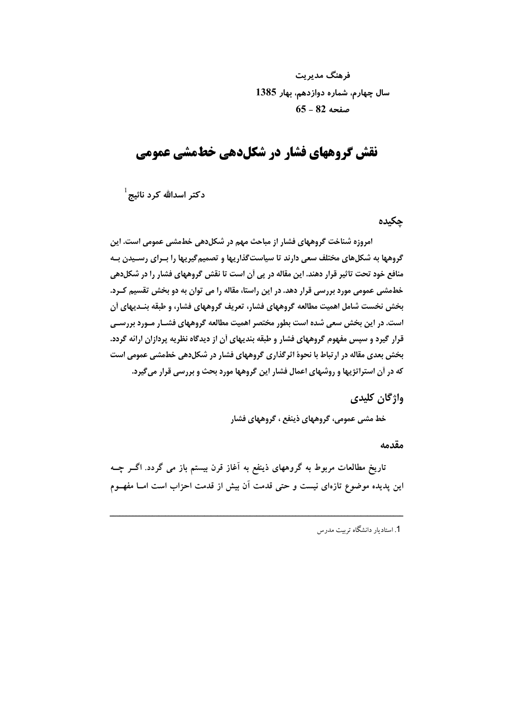فرهنگ مدیریت سال چهارم، شماره دوازدهم، بهار 1385  $65 - 82$  صفحه

# نقش گروههای فشار در شکلدهی خطمشی عمومی

دکتر اسدالله کرد نائیج<sup>1</sup>

چکیدہ

امروزه شناخت گروههای فشار از مباحث مهم در شکل(هی خطمشی عمومی است. این گروهها به شکلهای مختلف سعی دارند تا سیاستگذاریها و تصمیمگیریها را بـرای رسـیدن بـه منافع خود تحت تاثیر قرار دهند. این مقاله در پی آن است تا نقش گروههای فشار را در شکلدهی خطمشی عمومی مورد بررسی قرار دهد. در این راستا، مقاله را می توان به دو بخش تقسیم کـرد. بخش نخست شامل اهمیت مطالعه گروههای فشار، تعریف گروههای فشار، و طبقه بنـدیهای أن است. در این بخش سعی شده است بطور مختصر اهمیت مطالعه گروههای فشـار مـورد بررسـی قرار گیرد و سپس مفهوم گروههای فشار و طبقه بندیهای آن از دیدگاه نظریه پردازان ارائه گردد. بخش بعدی مقاله در ارتباط با نحوهٔ اثرگذاری گروههای فشار در شکل(هی خطمشی عمومی است که در آن استراتژیها و روشهای اعمال فشار این گروهها مورد بحث و بررسی قرار میگیرد.

واژگان کلیدی

خط مشي عمومي، گروههاي ذينفع ، گروههاي فشار

مقدمه

تاریخ مطالعات مربوط به گروههای ذینفع به آغاز قرن بیستم باز می گردد. اگــر چــه این پدیده موضوع تازهای نیست و حتی قدمت آن بیش از قدمت احزاب است امــا مفهــوم

1. استادىار دانشگاه ترست مدرس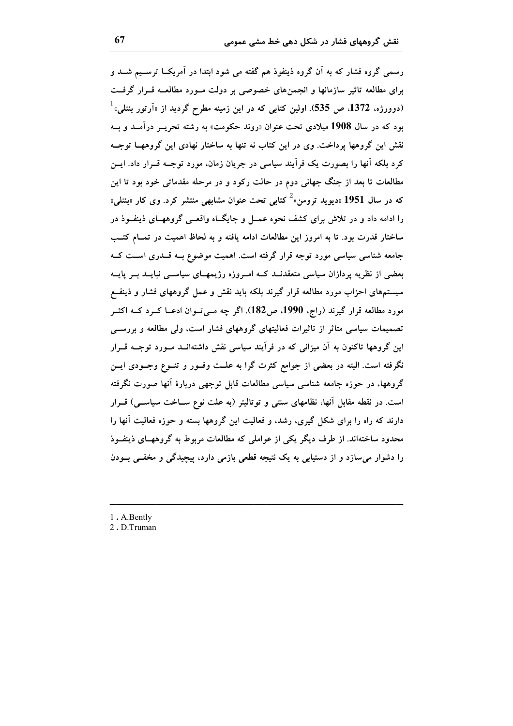رسمی گروه فشار که به آن گروه ذینفوذ هم گفته می شود ابتدا در آمریکــا ترســیم شــد و برای مطالعه تاثیر سازمانها و انجمنهای خصوصی بر دولت مــورد مطالعــه قــرار گرفــت (دوورژه، 1372. ص 535). اولین کتابی که در این زمینه مطرح گردید از «اَرتور بنتلی» ٔ بود که در سال 1908 میلادی تحت عنوان «روند حکومت» به رشته تحریــر درآمــد و بــه نقش این گروهها پرداخت. وی در این کتاب نه تنها به ساختار نهادی این گروههــا توجــه کرد بلکه آنها را بصورت یک فرآیند سیاسی در جریان زمان، مورد توجــه قــرار داد. ایــن مطالعات تا بعد از جنگ جهانی دوم در حالت رکود و در مرحله مقدماتی خود بود تا این که در سال 1951 «دیوید ترومن» کتابی تحت عنوان مشابهی منتشر کرد. وی کار «بنتلی» را ادامه داد و در تلاش برای کشف نحوه عمــل و جایگــاه واقعــی گروههــای ذینفــوذ در ساختار قدرت بود. تا به امروز این مطالعات ادامه یافته و به لحاظ اهمیت در تمـام کتـب جامعه شناسی سیاسی مورد توجه قرار گرفته است. اهمیت موضوع بـه قــدری اســت کــه بعضی از نظریه پردازان سیاسی متعقدنــد کــه امــروزه رژیمهــای سیاســی نبایــد بــر پایــه سیستمهای احزاب مورد مطالعه قرار گیرند بلکه باید نقش و عمل گروههای فشار و ذینفـع مورد مطالعه قرار گیرند (راج، 1990، ص182). اگر چه مـیتـوان ادعــا کــرد کــه اکثــر تصمیمات سیاسی متاثر از تاثیرات فعالیتهای گروههای فشار است، ولی مطالعه و بررســی این گروهها تاکنون به آن میزانی که در فرآیند سیاسی نقش داشتهانــد مــورد توجــه قــرار نگرفته است. البته در بعضی از جوامع کثرت گرا به علــت وفــور و تنــوع وجــودی ایــن گروهها، در حوزه جامعه شناسی سیاسی مطالعات قابل توجهی دربارهٔ آنها صورت نگرفته است. در نقطه مقابل آنها، نظامهای سنتی و توتالیتر (به علت نوع سـاخت سیاسـی) قــرار دارند که راه را برای شکل گیری، رشد، و فعالیت این گروهها بسته و حوزه فعالیت آنها را محدود ساختهاند. از طرف دیگر یکی از عواملی که مطالعات مربوط به گروههــای ذینفــوذ را دشوار می سازد و از دستیابی به یک نتیجه قطعی بازمی دارد، پیچیدگی و مخفــی بــودن

1. A.Bently

2.D.Truman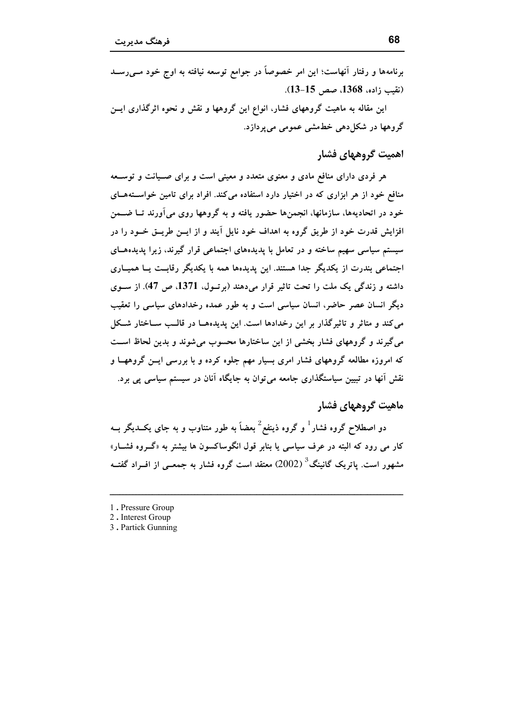این مقاله به ماهیت گروههای فشار، انواع این گروهها و نقش و نحوه اثرگذاری ایــن گروهها در شکا ٖدهی خطمشی عمومی میپردازد.

# اهميت گروههای فشار

هر فردی دارای منافع مادی و معنوی متعدد و معینی است و برای صــیانت و توســعه منافع خود از هر ابزاری که در اختیار دارد استفاده میکند. افراد برای تامین خواستههای خود در اتحادیهها، سازمانها، انجمنها حضور یافته و به گروهها روی میآورند تــا ضــمن افزایش قدرت خود از طریق گروه به اهداف خود نایل آیند و از ایــن طریــق خــود را در سیستم سیاسی سهیم ساخته و در تعامل با پدیدههای اجتماعی قرار گیرند، زیرا پدیدههـای اجتماعی بندرت از یکدیگر جدا هستند. این پدیدهها همه با یکدیگر رقابت یــا همیــاری داشته و زندگی یک ملت را تحت تاثیر قرار میدهند (برتـول، 1371، ص 47). از سـوی دیگر انسان عصر حاضر، انسان سیاسی است و به طور عمده رخدادهای سیاسی را تعقیب می کند و متاثر و تاثیرگذار بر این رخدادها است. این پدیدههـا در قالـب ســاختار شــکل می گیرند و گروههای فشار بخشی از این ساختارها محسوب میشوند و بدین لحاظ است که امروزه مطالعه گروههای فشار امری بسیار مهم جلوه کرده و با بررسی ایـن گروههــا و نقش آنها در تبیین سیاستگذاری جامعه میتوان به جایگاه آنان در سیستم سیاسی پی برد.

# ماهیت گروههای فشار

دو اصطلاح گروه فشار <sup>1</sup> و گروه ذینفع<sup>2</sup> بعضاً به طور متناوب و به جای یکــدیگر بــه کار مي رود که البته در عرف سياسي يا بنابر قول انگوساکسون ها بيشتر به «گــروه فشــار» مشهور است. پاتریک گانینگ<sup>3</sup> (2002) معتقد است گروه فشار به جمعــی از افــراد گفتــه

- 1. Pressure Group
- 2. Interest Group
- 3. Partick Gunning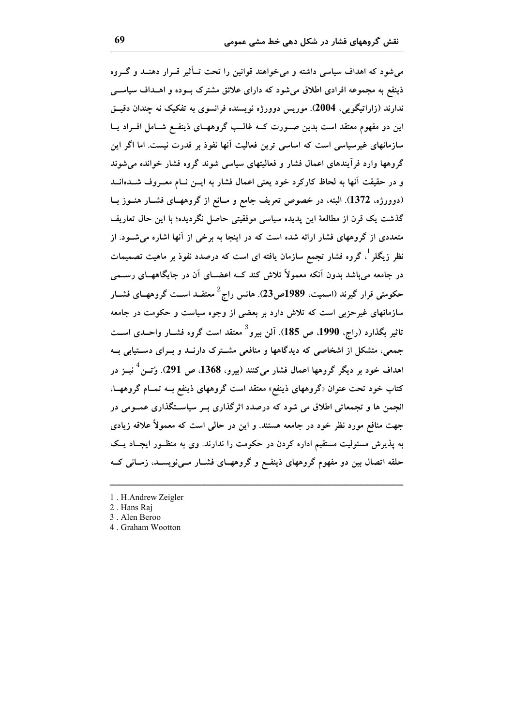می شود که اهداف سیاسی داشته و می خواهند قوانین را تحت تــأثیر قــرار دهنــد و گــروه ذینفع به مجموعه افرادی اطلاق می شود که دارای علائق مشترک بوده و اهــداف سیاســی ندارند (زاراتیگویی، 2004). موریس دوورژه نویسنده فرانسوی به تفکیک نه چندان دقیــق این دو مفهوم معتقد است بدین صـورت کــه غالــب گروههــای ذینفــع شــامل افــراد یــا سازمانهای غیرسیاسی است که اساسی ترین فعالیت اَنها نفوذ بر قدرت نیست. اما اگر این گروهها وارد فرآیندهای اعمال فشار و فعالیتهای سیاسی شوند گروه فشار خوانده می شوند و در حقیقت آنها به لحاظ کارکرد خود یعنی اعمال فشار به ایــن نــام معــروف شـــدهانـــد (دوورژه، 1372). البته، در خصوص تعریف جامع و مــانع از گروههــای فشــار هنــوز بــا گذشت یک قرن از مطالعهٔ این پدیده سیاسی موفقیتی حاصل نگردیده؛ با این حال تعاریف متعددی از گروههای فشار ارائه شده است که در اینجا به برخی از آنها اشاره میشـود. از نظر زیگلر <sup>۱</sup>، گروه فشار تجمع سازمان یافته ای است که درصدد نفوذ بر ماهیت تصمیمات در جامعه می باشد بدون اَنکه معمولاً تلاش کند کــه اعضــای اَن در جایگاههــای رســـمی حکومتی قرار گیرند (اسمیت، 1989ص23). هانس راج<sup>2</sup> معتقــد اســت گروههــای فشــار سازمانهای غیرحزبی است که تلاش دارد بر بعضی از وجوه سیاست و حکومت در جامعه تاثیر بگذارد (راج، 1990، ص 185). آلن بیرو<sup>3</sup> معتقد است گروه فشــار واحــدی اســت جمعی، متشکل از اشخاصی که دیدگاهها و منافعی مشـترک دارنــد و بــرای دســتیابی بــه اهداف خود بر دیگر گروهها اعمال فشار میکنند (بیرو، 1368، ص 291). وُتــن<sup>4</sup> نیــز در کتاب خود تحت عنوان «گروههای ذینفع» معتقد است گروههای ذینفع بــه تمــام گروههــا، انجمن ها و تجمعاتی اطلاق می شود که درصدد اثرگذاری بــر سیاســتگذاری عمــومی در جهت منافع مورد نظر خود در جامعه هستند. و این در حالبی است که معمولاً علاقه زیادی به پذیرش مسئولیت مستقیم اداره کردن در حکومت را ندارند. وی به منظـور ایجـاد یـک حلقه اتصال بین دو مفهوم گروههای ذینفع و گروههـای فشـار مـینویسـد، زمـانی کــه

4. Graham Wootton

<sup>1.</sup> H.Andrew Zeigler

<sup>2.</sup> Hans Rai

<sup>3.</sup> Alen Beroo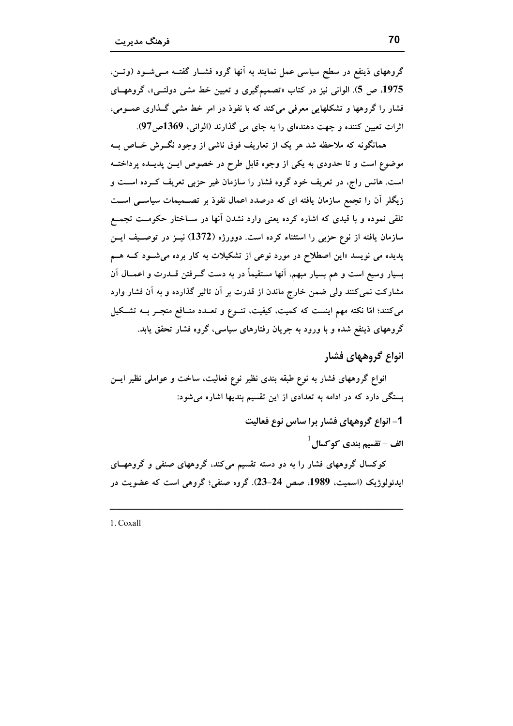گروههای ذینفع در سطح سیاسی عمل نمایند به آنها گروه فشــار گفتــه مــیشــود (وتــن، 1975، ص 5). الواني نيز در كتاب «تصميمگيري و تعيين خط مشي دولتـي»، گروههـاي فشار را گروهها و تشکلهایی معرفی می کند که با نفوذ در امر خط مشی گـذاری عمــومی، اثرات تعیین کننده و جهت دهندهای را به جای می گذارند (الوانی، 1369ص97).

همانگونه که ملاحظه شد هر یک از تعاریف فوق ناشی از وجود نگــرش خــاص بــه موضوع است و تا حدودی به یکی از وجوه قابل طرح در خصوص ایــن پدیــده پرداختــه است. هانس راج، در تعریف خود گروه فشار را سازمان غیر حزبی تعریف کــرده اســت و زیگلر آن را تجمع سازمان یافته ای که درصدد اعمال نفوذ بر تصــمیمات سیاســی اســت تلقی نموده و با قیدی که اشاره کرده یعنی وارد نشدن آنها در سـاختار حکومــت تجمــع سازمان یافته از نوع حزبی را استثناء کرده است. دوورژه (1372) نیــز در توصـیف ایــن پدیده می نویسد «این اصطلاح در مورد نوعی از تشکیلات به کار برده می شـود کــه هــم بسیار وسیع است و هم بسیار مبهم، آنها مستقیماً در به دست گــرفتن قــدرت و اعمــال آن مشارکت نمی کنند ولی ضمن خارج ماندن از قدرت بر آن تاثیر گذارده و به آن فشار وارد می کنند؛ امّا نکته مهم اینست که کمیت، کیفیت، تنـوع و تعــدد منــافع منجــر بــه تشــکیل گروههای ذینفع شده و با ورود به جریان رفتارهای سیاسی، گروه فشار تحقق یابد.

انواع گروههای فشار

انواع گروههای فشار به نوع طبقه بندی نظیر نوع فعالیت، ساخت و عواملی نظیر ایسن بستگی دارد که در ادامه به تعدادی از این تقسیم بندیها اشاره میشود:

1- انواع گروههای فشار برا ساس نوع فعالیت

 $^{-1}$ الف - تقسیم بندی کو کسال

کوکسال گروههای فشار را به دو دسته تقسیم میکند، گروههای صنفی و گروههــای ايدئولوژيک (اسميت، 1989. صص 24-23). گروه صنفي؛ گروهي است که عضويت در

1. Coxall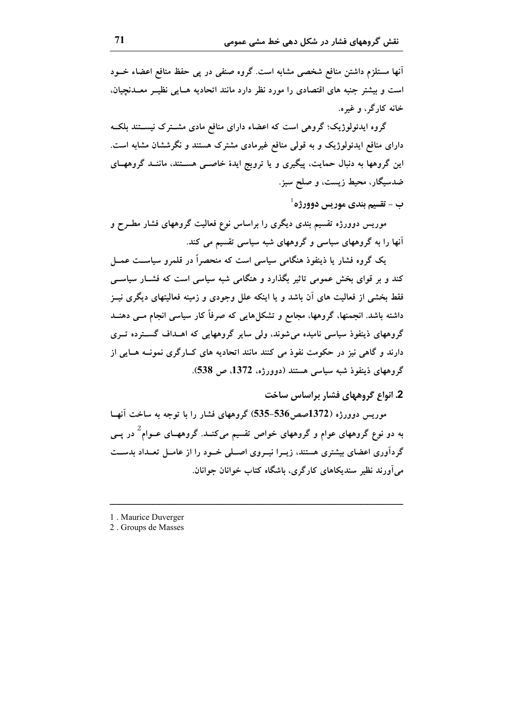انها مستلزم داشتن منافع شخصی مشابه است. گروه صنفی در پی حفظ منافع اعضاء خــود است و بیشتر جنبه های اقتصادی را مورد نظر دارد مانند اتحادیه هـایی نظیــر معــدنجیان. خانه کارگر، و غیره.

گروه ایدئولوژیک؛ گروهی است که اعضاء دارای منافع مادی مشــترک نیســتند بلکــه دارای منافع ایدئولوژیک و به قولی منافع غیرمادی مشترک هستند و نگرششان مشابه است. این گروهها به دنبال حمایت، پیگیری و یا ترویج ایدهٔ خاصــی هســتند، ماننــد گروههــای ضدسیگار، محیط زیست، و صلح سبز.

 $^{-1}$ ب – تقسيم بندي مور سي دوورژه

موریس دوورژه تقسیم بندی دیگری را براساس نوع فعالیت گروههای فشار مطـرح و آنها را به گروههای سیاسی و گروههای شبه سیاسی تقسیم می کند.

یک گروه فشار یا ذینفوذ هنگامی سیاسی است که منحصراً در قلمرو سیاسـت عمــل کند و بر قوای بخش عمومی تاثیر بگذارد و هنگامی شبه سیاسی است که فشــار سیاســی فقط بخشی از فعالیت های آن باشد و یا اینکه علل وجودی و زمینه فعالیتهای دیگری نیــز داشته باشد. انجمنها، گروهها، مجامع و تشکل هایی که صرفاً کار سیاسی انجام مــی دهنــد گروههای ذینفوذ سیاسی نامیده می شوند، ولی سایر گروههایی که اهــداف گســترده تــری دارند و گاهی نیز در حکومت نفوذ می کنند مانند اتحادیه های کــارگری نمونــه هــایی از گروههای ذینفوذ شبه سیاسی هستند (دوورژه، 1372، ص 538).

2. انواع گروههای فشار براساس ساخت

موریس دوورژه (1372صص536–535) گروههای فشار را با توجه به ساخت آنهــا به دو نوع گروههای عوام و گروههای خواص تقسیم میکنـد. گروههـای عــوام<sup>2</sup> در پــی گردآوری اعضای بیشتری هستند، زیـرا نیـروی اصـلی خـود را از عامـل تعــداد بدسـت می آورند نظیر سندیکاهای کارگری، باشگاه کتاب خوانان جوانان.

- 1. Maurice Duverger
- 2. Groups de Masses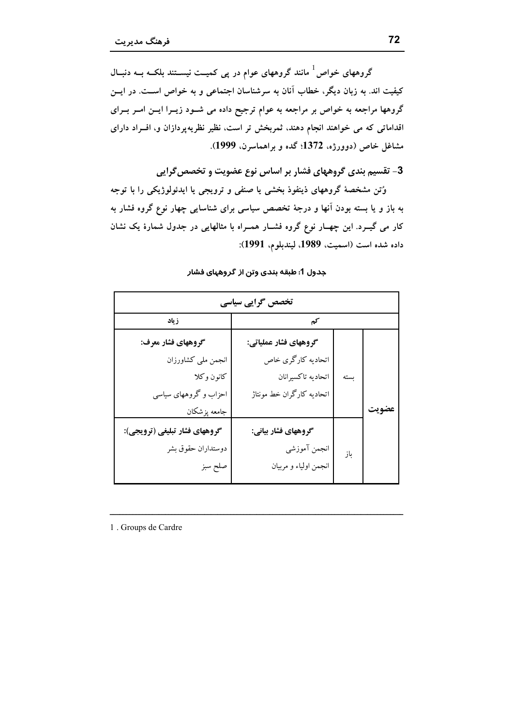گروههای خواص <sup>1</sup> مانند گروههای عوام در پی کمیــت نیســتند بلکــه بــه دنبــال کیفیت اند. به زبان دیگر، خطاب آنان به سرشناسان اجتماعی و به خواص اسـت. در ایــن گروهها مراجعه به خواص بر مراجعه به عوام ترجیح داده می شـود زیـرا ایــن امـر بـرای اقداماتی که می خواهند انجام دهند، ثمربخش تر است، نظیر نظریهپردازان و، افــراد دارای مشاغل خاص (دوورژه، 1372؛ گده و براهماسرن، 1999).

3- تقسیم بندی گروههای فشار بر اساس نوع عضویت و تخصص گرایی

وُتن مشخصهٔ گروههای ذینفوذ بخشی یا صنفی و ترویجی یا ایدئولوژیکی را با توجه به باز و یا بسته بودن آنها و درجهٔ تخصص سیاسی برای شناسایی چهار نوع گروه فشار به کار می گیــرد. این چهــار نوع گروه فشــار همــراه با مثالهایی در جدول شمارهٔ یک نشان داده شده است (اسميت، 1989، ليندبلوم، 1991):

| تخصص گرایی سیاسی              |                           |      |       |
|-------------------------------|---------------------------|------|-------|
| ز یاد                         | كم                        |      |       |
| گروههای فشار معرف:            | گروههای فشار عملیاتی:     |      |       |
| انجمن ملي كشاورزان            | اتحادیه کارگری خاص        |      |       |
| كانون وكلا                    | اتحاديه تاكسيرانان        | بسته |       |
| احزاب و گروههای سیاسی         | اتحادیه کارگران خط مونتاژ |      |       |
| جامعه پزشکان                  |                           |      | عضويت |
| گروههای فشار تبلیغی (ترویجی): | گروههای فشار بیانی:       |      |       |
| دوستداران حقوق بشر            | انجمن آموزشي              | باز  |       |
| صلح سبز                       | انجمن اولياء و مربيان     |      |       |

جدول 1: طبقه بندی وتن از گروههای فشار

1. Groups de Cardre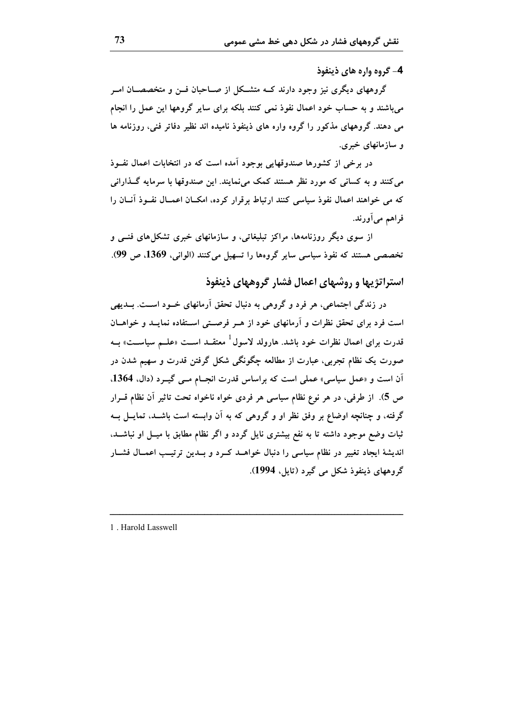4- گروه واره های ذینفوذ

گروههای دیگری نیز وجود دارند کــه متشــکل از صــاحبان فــن و متخصصــان امــر می باشند و به حساب خود اعمال نفوذ نمی کنند بلکه برای سایر گروهها این عمل را انجام می دهند. گروههای مذکور را گروه واره های ذینفوذ نامیده اند نظیر دفاتر فنی، روزنامه ها و سازمانهای خبری.

در برخی از کشورها صندوقهایی بوجود آمده است که در انتخابات اعمال نفــوذ می کنند و به کسانی که مورد نظر هستند کمک می نمایند. این صندوقها با سرمایه گــذارانی که می خواهند اعمال نفوذ سیاسی کنند ارتباط برقرار کرده، امکسان اعمسال نفسوذ آنسان را فراهم میآورند.

از سوی دیگر روزنامهها، مراکز تبلیغاتی، و سازمانهای خبری تشکلهای فنسی و تخصصی هستند که نفوذ سیاسی سایر گروهها را تسهیل می کنند (الوانی، 1369، ص 99).

استراتژیها و روشهای اعمال فشار گروههای ذینفوذ

در زندگی اجتماعی، هر فرد و گروهی به دنبال تحقق آرمانهای خــود اســت. بــدیهی است فرد برای تحقق نظرات و آرمانهای خود از هـر فرصـتی اسـتفاده نمایــد و خواهــان قدرت برای اعمال نظرات خود باشد. هارولد لاسول<sup>1</sup> معتقــد اســت «علــم سیاســت» بــه صورت یک نظام تجربی، عبارت از مطالعه چگونگی شکل گرفتن قدرت و سهیم شدن در اّن است و «عمل سیاسی» عملی است که براساس قدرت انجـام مــی گیــرد (دال. 1364. ص 5). از طرفی، در هر نوع نظام سیاسی هر فردی خواه ناخواه تحت تاثیر آن نظام قــرار گرفته، و چنانچه اوضاع بر وفق نظر او و گروهی که به آن وابسته است باشــد، تمایــل بــه ثبات وضع موجود داشته تا به نفع بیشتری نایل گردد و اگر نظام مطابق با میــل او نباشـــد، اندیشهٔ ایجاد تغییر در نظام سیاسی را دنبال خواهــد کــرد و بــدین ترتیــب اعمــال فشــار گروههای ذینفوذ شکل می گیرد (تایل، 1994).

1. Harold Lasswell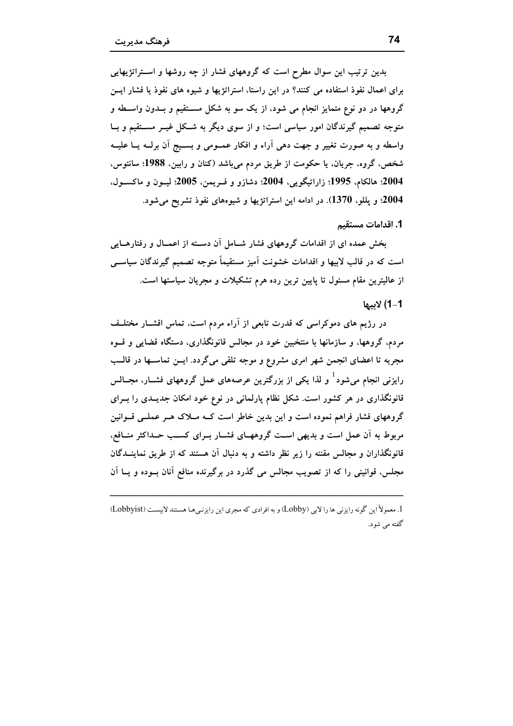بدین ترتیب این سوال مطرح است که گروههای فشار از چه روشها و اسـتراتژیهایی برای اعمال نفوذ استفاده می کنند؟ در این راستا، استراتژیها و شیوه های نفوذ یا فشار ایسن گروهها در دو نوع متمایز انجام می شود، از یک سو به شکل مســتقیم و بــدون واســطه و متوجه تصمیم گیرندگان امور سیاسی است؛ و از سوی دیگر به شـکل غیــر مســتقیم و بــا واسطه و به صورت تغییر و جهت دهی آراء و افکار عمــومی و بســیج آن برلــه یــا علیــه شخص، گروه، جریان، یا حکومت از طریق مردم میباشد (کنان و رابین، 1988؛ سانتوس، 2004؛ هالكام، 1995؛ زاراتيگويي، 2004؛ دشازو و فـريمن، 2005؛ ليـون و ماكسـول، 2004؛ و پللو، 1370). در ادامه این استراتژیها و شیوههای نفوذ تشریح می شود.

1. اقدامات مستقیم

بخش عمده ای از اقدامات گروههای فشار شــامل آن دســته از اعمــال و رفتارهــایی است که در قالب لابیها و اقدامات خشونت آمیز مستقیماً متوجه تصمیم گیرندگان سیاسے از عالیترین مقام مسئول تا پایین ترین رده هرم تشکیلات و مجریان سیاستها است.

#### 1-1) لاىب

در رژیم های دموکراسی که قدرت تابعی از اَراء مردم است، تماس اقشــار مختلــف مردم، گروهها، و سازمانها با منتخبین خود در مجالس قانونگذاری، دستگاه قضایی و قــوه مجریه تا اعضای انجمن شهر امری مشروع و موجه تلقی میگردد. ایــن تماســها در قالــب رایزنی انجام میشود<sup>1</sup> و لذا یکی از بزرگترین عرصههای عمل گروههای فشــار، مجــالس قانونگذاری در هر کشور است. شکل نظام پارلمانی در نوع خود امکان جدیــدی را بــرای گروههای فشار فراهم نموده است و این بدین خاطر است کــه مــلاک هــر عملــی قــوانین مربوط به آن عمل است و بدیهی اسـت گروههـای فشـار بـرای کسـب حـداکثر منـافع، قانونگذاران و مجالس مقننه را زیر نظر داشته و به دنبال آن هستند که از طریق نماینــدگان مجلس، قوانینی را که از تصویب مجالس می گذرد در برگیرنده منافع آنان بــوده و پــا آن

<sup>1.</sup> معمولاً این گونه رایزنی ها را لابی (Lobby) و به افرادی که مجری این رایزنی هـا هستند لایسـت (Lobbyist) گفته می شود.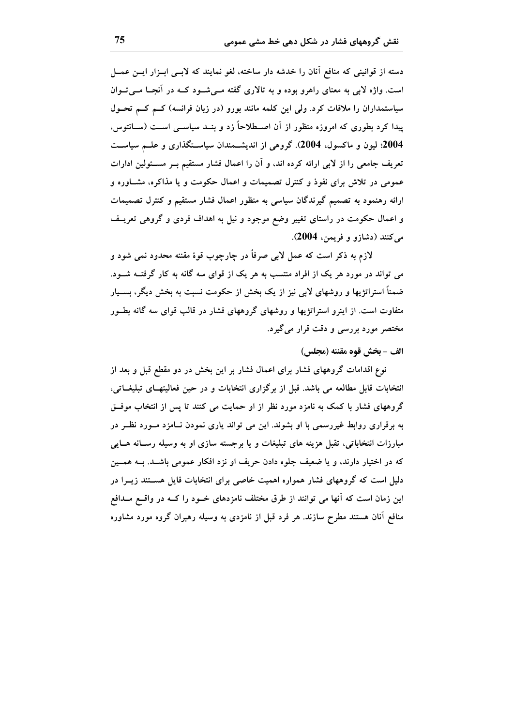دسته از قوانینی که منافع آنان را خدشه دار ساخته، لغو نمایند که لابــی ابــزار ایــن عمــل است. واژه لابی به معنای راهرو بوده و به تالاری گفته مـیشـود کــه در آنجـا مــیتــوان سیاستمداران را ملاقات کرد. ولی این کلمه مانند بورو (در زبان فرانسه) کـم کـم تحـول پیدا کرد بطوری که امروزه منظور از آن اصــطلاحاً زد و بنــد سیاســی اســت (ســانتوس، 2004؛ لیون و ماکسول، 2004). گروهی از اندیشـمندان سیاسـتگذاری و علــم سیاســت تعریف جامعی را از لابی ارائه کرده اند، و آن را اعمال فشار مستقیم بـر مسـئولین ادارات عمومی در تلاش برای نفوذ و کنترل تصمیمات و اعمال حکومت و یا مذاکره، مشــاوره و ارائه رهنمود به تصمیم گیرندگان سیاسی به منظور اعمال فشار مستقیم و کنترل تصمیمات و اعمال حکومت در راستای تغییر وضع موجود و نیل به اهداف فردی و گروهی تعریـف ميكنند (دشازو و فريمن، 2004).

لازم به ذکر است که عمل لابی صرفاً در چارچوب قوهٔ مقننه محدود نمی شود و می تواند در مورد هر یک از افراد منتسب به هر یک از قوای سه گانه به کار گرفتــه شــود. ضمناً استراتژیها و روشهای لابی نیز از یک بخش از حکومت نسبت به بخش دیگر، بســیار متفاوت است. از اینرو استراتژیها و روشهای گروههای فشار در قالب قوای سه گانه بطـور مختصر مورد بررسی و دقت قرار میگیرد.

#### الف - بخش قوه مقننه (مجلس)

نوع اقدامات گروههای فشار برای اعمال فشار بر این بخش در دو مقطع قبل و بعد از انتخابات قابل مطالعه می باشد. قبل از برگزاری انتخابات و در حین فعالیتهــای تبلیغــاتی، گروههای فشار با کمک به نامزد مورد نظر از او حمایت می کنند تا پس از انتخاب موفــق به برقراری روابط غیررسمی با او بشوند. این می تواند پاری نمودن نــامزد مــورد نظــر در مبارزات انتخاباتی، تقبل هزینه های تبلیغات و یا برجسته سازی او به وسیله رسـانه هـایی که در اختیار دارند، و یا ضعیف جلوه دادن حریف او نزد افکار عمومی باشـد. بــه همــین دلیل است که گروههای فشار همواره اهمیت خاصی برای انتخابات قایل هســتند زیــرا در این زمان است که آنها می توانند از طرق مختلف نامزدهای خــود را کــه در واقــع مــدافع منافع آنان هستند مطرح سازند. هر فرد قبل از نامزدی به وسیله رهبران گروه مورد مشاوره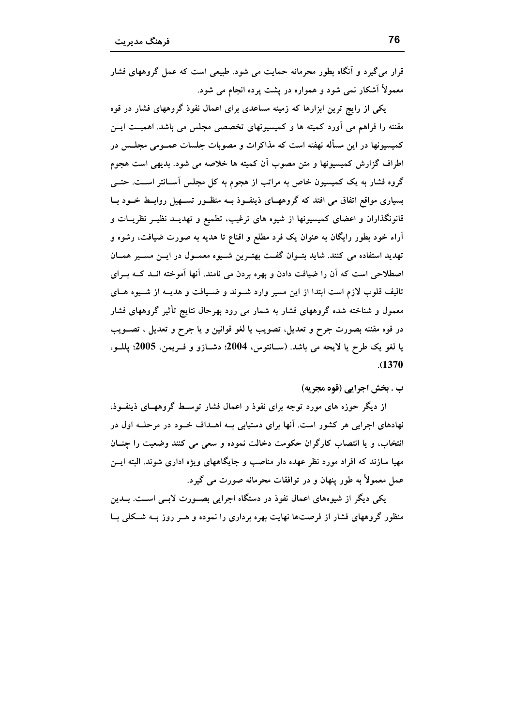قرار می گیرد و آنگاه بطور محرمانه حمایت می شود. طبیعی است که عمل گروههای فشار معمولاً آشکار نمی شود و همواره در پشت پرده انجام می شود.

یکی از رایج ترین ابزارها که زمینه مساعدی برای اعمال نفوذ گروههای فشار در قوه مقننه را فراهم می آورد کمیته ها و کمیسیونهای تخصصی مجلس می باشد. اهمیــت ایــن کمیسیونها در این مسأله نهفته است که مذاکرات و مصوبات جلسات عمــومی مجلــس در اطراف گزارش کمیسیونها و متن مصوب آن کمیته ها خلاصه می شود. بدیهی است هجوم گروه فشار به یک کمیسیون خاص به مراتب از هجوم به کل مجلس آســانتر اســت. حتــی بسیاری مواقع اتفاق می افتد که گروههـای ذینفـوذ بــه منظـور تســهیل روابــط خــود بــا قانونگذاران و اعضای کمیسیونها از شیوه های ترغیب، تطمیع و تهدیــد نظیــر نظریــات و آراء خود بطور رایگان به عنوان یک فرد مطلع و اقناع تا هدیه به صورت ضیافت، رشوه و تهدید استفاده می کنند. شاید بتـوان گفـت بهتـرین شـیوه معمـول در ایــن مسـیر همــان اصطلاحی است که اَن را ضیافت دادن و بهره بردن می نامند. اَنها اَموخته انــد کــه بــرای تالیف قلوب لازم است ابتدا از این مسیر وارد شـوند و ضـیافت و هدیــه از شـیوه هــای معمول و شناخته شده گروههای فشار به شمار می رود بهرحال نتایج تأثیر گروههای فشار در قوه مقننه بصورت جرح و تعديل، تصويب يا لغو قوانين و يا جرح و تعديل ، تصـويب يا لغو يک طرح يا لايحه مي باشد. (ســانتوس، 2004؛ دشــازو و فــريمن، 2005؛ يللــو،  $. (1370)$ 

ب . بخش اجرایی (قوه مجریه)

از دیگر حوزه های مورد توجه برای نفوذ و اعمال فشار توسیط گروههبای ذینفوذ، نهادهای اجرایی هر کشور است. آنها برای دستیابی بــه اهــداف خــود در مرحلــه اول در انتخاب، و يا انتصاب كارگران حكومت دخالت نموده و سعى مى كنند وضعيت را چنــان مهیا سازند که افراد مورد نظر عهده دار مناصب و جایگاههای ویژه اداری شوند. البته ایــن عمل معمولاً به طور پنهان و در توافقات محرمانه صورت مي گيرد.

یکی دیگر از شیوههای اعمال نفوذ در دستگاه اجرایی بصـورت لابـی اسـت. بــدین منظور گروههای فشار از فرصتها نهایت بهره برداری را نموده و هـر روز بـه شـكلی بـا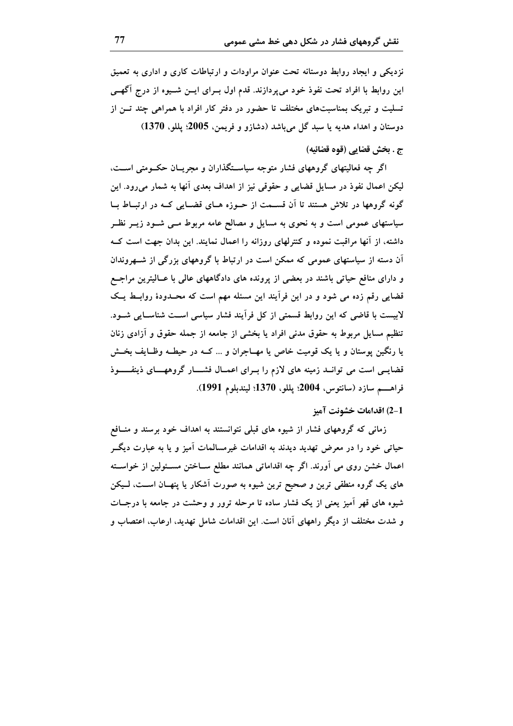نزدیکی و ایجاد روابط دوستانه تحت عنوان مراودات و ارتباطات کاری و اداری به تعمیق این روابط با افراد تحت نفوذ خود میپردازند. قدم اول بــرای ایــن شـــیوه از درج آگهــی تسلیت و تبریک بمناسبتهای مختلف تا حضور در دفتر کار افراد با همراهی چند تــن از دوستان و اهداء هديه يا سبد گل ميباشد (دشازو و فريمن، 2005؛ پللو، 1370)

## ج . بخش قضايي (قوه قضائيه)

اگر چه فعالیتهای گروههای فشار متوجه سیاسـتگذاران و مجریــان حکــومتی اســت، لیکن اعمال نفوذ در مسایل قضایی و حقوقی نیز از اهداف بعدی آنها به شمار میرود. این گونه گروهها در تلاش هستند تا آن قسـمت از حـوزه هـای قضـایی کـه در ارتبـاط بـا سیاستهای عمومی است و به نحوی به مسایل و مصالح عامه مربوط مــی شــود زیــر نظــر داشته، از آنها مراقبت نموده و کنترلهای روزانه را اعمال نمایند. این بدان جهت است کــه آن دسته از سیاستهای عمومی که ممکن است در ارتباط با گروههای بزرگی از شــهروندان و دارای منافع حیاتی باشند در بعضی از پرونده های دادگاههای عالمی با عــالیترین مراجــع قضایی رقم زده می شود و در این فرآیند این مسئله مهم است که محـدودهٔ روابــط یــک لابیست با قاضی که این روابط قسمتی از کل فرآیند فشار سیاسی اسـت شناسـایی شــود. تنظیم مسایل مربوط به حقوق مدنی افراد یا بخشی از جامعه از جمله حقوق و آزادی زنان یا رنگین پوستان و یا یک قومیت خاص یا مهــاجران و … کــه در حیطــه وظــایف بخــش قضایـی است می توانـد زمینه های لازم را بـرای اعمـال فشـــار گروههــای ذینفــــوذ فراهــــم سازد (سانتوس، 2004؛ پللو، 1370؛ ليندبلوم 1991).

## 2-1) اقدامات خشونت آميز

زمانی که گروههای فشار از شیوه های قبلی نتوانستند به اهداف خود برسند و منـافع حیاتی خود را در معرض تهدید دیدند به اقدامات غیرمسالمات آمیز و یا به عبارت دیگــر اعمال خشن روی می آورند. اگر چه اقداماتی همانند مطلع ســاختن مســئولین از خواســته های یک گروه منطقی ترین و صحیح ترین شیوه به صورت آشکار یا پنهــان اســت، لــیکن شیوه های قهر اَمیز یعنی از یک فشار ساده تا مرحله ترور و وحشت در جامعه با درجـات و شدت مختلف از دیگر راههای آنان است. این اقدامات شامل تهدید، ارعاب، اعتصاب و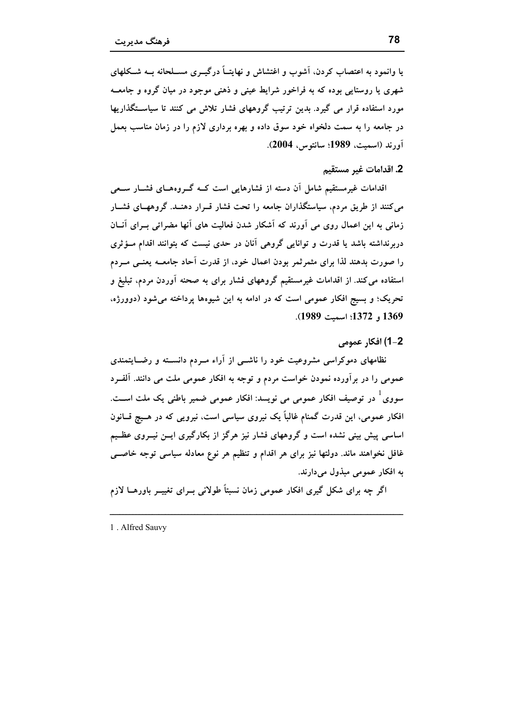یا وانمود به اعتصاب کردن، آشوب و اغتشاش و نهایتـاً درگیــری مســلحانه بــه شــکلهای شهري يا روستايي بوده كه به فراخور شرايط عيني و ذهني موجود در ميان گروه و جامعـه مورد استفاده قرار می گیرد. بدین ترتیب گروههای فشار تلاش می کنند تا سیاستگذاریها در جامعه را به سمت دلخواه خود سوق داده و بهره برداری لازم را در زمان مناسب بعمل آورند (اسميت، 1989؛ سانتوس، 2004).

## 2. اقدامات غير مستقيم

اقدامات غیرمستقیم شامل آن دسته از فشارهایی است کــه گــروههــای فشــار ســعی می کنند از طریق مردم، سیاستگذاران جامعه را تحت فشار قــرار دهنــد. گروههــای فشــار زمانی به این اعمال روی می آورند که آشکار شدن فعالیت های آنها مضراتی بـرای آنــان دربرنداشته باشد یا قدرت و توانایی گروهی آنان در حدی نیست که بتوانند اقدام مــؤثری را صورت بدهند لذا برای مثمر ثمر بودن اعمال خود، از قدرت آحاد جامعــه یعنــی مــردم استفاده می کند. از اقدامات غیرمستقیم گروههای فشار برای به صحنه آوردن مردم، تبلیغ و تحریک؛ و بسیج افکار عمومی است که در ادامه به این شیوهها پرداخته می شود (دوورژه، 1369 , 1372؛ اسمت 1989).

#### 2-1) افكار عمومي

نظامهای دموکراسی مشروعیت خود را ناشــی از آراء مــردم دانســته و رضــایتمندی عمومی را در برآورده نمودن خواست مردم و توجه به افکار عمومی ملت می دانند. آلفـرد سووی <sup>1</sup> در توصیف افکار عمومی می نویسد: افکار عمومی ضمیر باطنی یک ملت اســت. افکار عمومی، این قدرت گمنام غالباً یک نیروی سیاسی است، نیرویی که در هـیچ قــانون اساسی پیش بینی نشده است و گروههای فشار نیز هرگز از بکارگیری ایــن نیــروی عظــیم غافل نخواهند ماند. دولتها نیز برای هر اقدام و تنظیم هر نوع معادله سیاسی توجه خاصبی به افكار عمومي مبذول مي دارند.

اگر چه برای شکل گیری افکار عمومی زمان نسبتاً طولانی بــرای تغییــر باورهــا لازم

1. Alfred Sauvy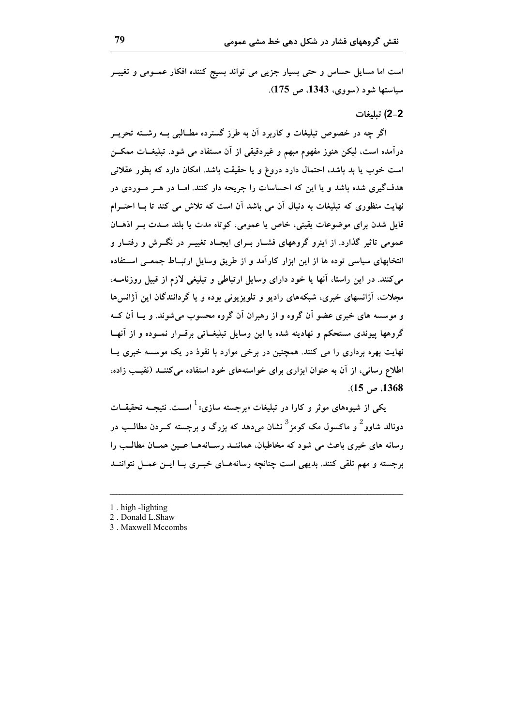است اما مسایل حساس و حتی بسیار جزیبی می تواند بسیج کننده افکار عمـومی و تغییــر سیاستها شود (سووی، 1343، ص 175).

#### 2-2) تبليغات

اگر چه در خصوص تبلیغات و کاربرد آن به طرز گسترده مطــالبی بــه رشــته تحریــر درآمده است، لیکن هنوز مفهوم مبهم و غیردقیقی از آن مستفاد می شود. تبلیغــات ممکـــن است خوب یا بد باشد، احتمال دارد دروغ و یا حقیقت باشد. امکان دارد که بطور عقلانی هدفگیری شده باشد و یا این که احساسات را جریحه دار کنند. امــا در هــر مــوردی در نهایت منظوری که تبلیغات به دنبال آن می باشد آن است که تلاش می کند تا بــا احتــرام قایل شدن برای موضوعات یقینی، خاص یا عمومی، کو تاه مدت یا بلند مــدت بــر اذهــان عمومی تاثیر گذارد. از اینرو گروههای فشــار بــرای ایجــاد تغییــر در نگــرش و رفتــار و انتخابهای سیاسی توده ها از این ابزار کارآمد و از طریق وسایل ارتبـاط جمعـی اســتفاده می کنند. در این راستا، آنها یا خود دارای وسایل ارتباطی و تبلیغی لازم از قبیل روزنامــه، مجلات، آژانسهای خبری، شبکههای رادیو و تلویزیونی بوده و یا گردانندگان این آژانسها و موسسه های خبری عضو اَن گروه و از رهبران اَن گروه محسوب می شوند. و پــا اَن کــه گروهها پیوندی مستحکم و نهادینه شده با این وسایل تبلیغــاتی برقــرار نمــوده و از آنهــا نهایت بهره برداری را می کنند. همچنین در برخی موارد با نفوذ در یک موسسه خبری پــا اطلاع رسانی، از آن به عنوان ابزاری برای خواستههای خود استفاده می کننــد (نقیــب زاده، .(1368 ص 15).

یکی از شیوههای موثر و کارا در تبلیغات «برجسته سازی» <sup>ا</sup> اســت. نتیجــه تحقیقــات دونالد شاوو<sup>2</sup> و ماکسول مک کومز<sup>3</sup> نشان میدهد که بزرگ و برجسته کــردن مطالــب در رسانه های خبری باعث می شود که مخاطبان، هماننــد رســانههــا عــین همــان مطالــب را برجسته و مهم تلقی کنند. بدیهی است چنانچه رسانههـای خبـری بـا ایــن عمــل نتواننــد

- 1 . high -lighting
- 2. Donald L.Shaw
- 3. Maxwell Mccombs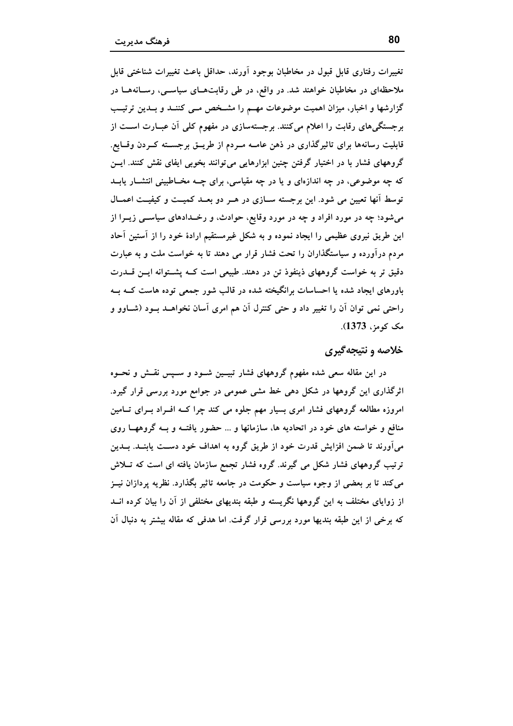تغییرات رفتاری قابل قبول در مخاطبان بوجود آورند، حداقل باعث تغییرات شناختی قابل ملاحظهای در مخاطبان خواهند شد. در واقع، در طی رقابتهــای سیاســی، رســانههــا در گزارشها و اخبار، میزان اهمیت موضوعات مهـم را مشـخص مـی کننــد و بــدین ترتیــب برجستگیهای رقابت را اعلام میکنند. برجستهسازی در مفهوم کلی آن عبـارت اســت از قابلیت رسانهها برای تاثیرگذاری در ذهن عامـه مــردم از طریــق برجســته کــردن وقــایع. گروههای فشار با در اختیار گرفتن چنین ابزارهایی می توانند بخوبی ایفای نقش کنند. ایــن که چه موضوعی، در چه اندازهای و یا در چه مقیاسی، برای چــه مخــاطبینی انتشــار یابــد توسط آنها تعیین می شود. این برجسته سـازی در هـر دو بعـد کمیـت و کیفیـت اعمـال میشود؛ چه در مورد افراد و چه در مورد وقایع، حوادث، و رخـدادهای سیاســی زیــرا از این طریق نیروی عظیمی را ایجاد نموده و به شکل غیرمستقیم ارادهٔ خود را از آستین آحاد مردم درآورده و سیاستگذاران را تحت فشار قرار می دهند تا به خواست ملت و به عبارت دقیق تر به خواست گروههای ذینفوذ تن در دهند. طبیعی است کــه پشــتوانه ایــن قـــدرت باورهای ایجاد شده یا احساسات برانگیخته شده در قالب شور جمعی توده هاست کــه بــه راحتی نمی توان آن را تغییر داد و حتی کنترل آن هم امری آسان نخواهــد بــود (شــاوو و مک کومز، 1373).

## خلاصه و نتیجهگیری

در این مقاله سعی شده مفهوم گروههای فشار تبیــین شــود و ســپس نقــش و نحــوه اثرگذاری این گروهها در شکل دهی خط مشی عمومی در جوامع مورد بررسی قرار گیرد. امروزه مطالعه گروههای فشار امری بسیار مهم جلوه می کند چرا کــه افــراد بــرای تــامین منافع و خواسته های خود در اتحادیه ها، سازمانها و … حضور یافتــه و بــه گروههــا روی میآورند تا ضمن افزایش قدرت خود از طریق گروه به اهداف خود دســت یابنــد. بــدین ترتیب گروههای فشار شکل می گیرند. گروه فشار تجمع سازمان یافته ای است که تــلاش می کند تا بر بعضی از وجوه سیاست و حکومت در جامعه تاثیر بگذارد. نظریه پردازان نیــز از زوایای مختلف به این گروهها نگریسته و طبقه بندیهای مختلفی از آن را بیان کرده انــد که برخی از این طبقه بندیها مورد بررسی قرار گرفت. اما هدفی که مقاله بیشتر به دنبال آن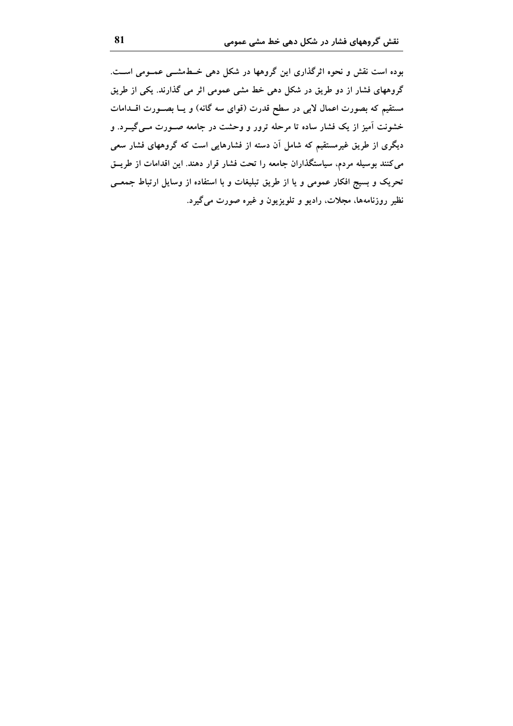بوده است نقش و نحوه اثرگذاری این گروهها در شکل دهی خـطمشــی عمــومی اســت. گروههای فشار از دو طریق در شکل دهی خط مشی عمومی اثر می گذارند. یکی از طریق مستقیم که بصورت اعمال لابی در سطح قدرت (قوای سه گانه) و یــا بصـــورت اقـــدامات خشونت آمیز از یک فشار ساده تا مرحله ترور و وحشت در جامعه صـورت مـیگیــرد. و دیگری از طریق غیرمستقیم که شامل آن دسته از فشارهایی است که گروههای فشار سعی می کنند بوسیله مردم، سیاستگذاران جامعه را تحت فشار قرار دهند. این اقدامات از طریــق تحریک و بسیج افکار عمومی و یا از طریق تبلیغات و با استفاده از وسایل ارتباط جمعــی نظیر روزنامهها، مجلات، رادیو و تلویزیون و غیره صورت میگیرد.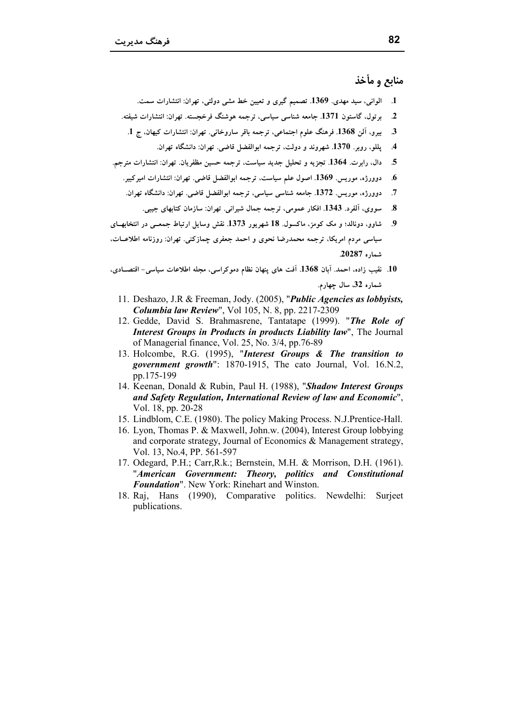منابع و مأخذ

- 1. الواني، سيد مهدي. 1369. تصميم گيري و تعيين خط مشي دولتي، تهران: انتشارات سمت.
- برتول، گاستون 1371. جامعه شناسی سیاسی، ترجمه هوشنگ فرخجسته. تهران: انتشارات شیفته.  $\mathbf{2}$ 
	- بيرو، آلن 1368. فرهنگ علوم اجتماعي، ترجمه باقر ساروخاني. تهران: انتشارات كيهان، ج 1.  $\boldsymbol{\mathcal{3}}$ 
		- يللو، روبر. 1370. شهروند و دولت، ترجمه ابوالفضل قاضي. تهران: دانشگاه تهران.  $\mathcal{A}$
- دال، رابرت. 1364. تجزيه و تحليل جديد سياست، ترجمه حسين مظفريان. تهران: انتشارات مترجم. 5
	- دوورژه، موريس. 1369. اصول علم سياست، ترجمه ابوالفضل قاضي. تهران: انتشارات اميركبير. .6
		- دوورژه، موريس. 1372. جامعه شناسي سياسي، ترجمه ابوالفضل قاضي. تهران: دانشگاه تهران.  $\cdot$ .7
			- سووي، اَلفرد. 1343. افكار عمومي، ترجمه جمال شيراني. تهران: سازمان كتابهاي جيبي. -8
- شاوو، دونالد؛ و مک کومز، ماکسول 18 شهرپور 1373. نقش وسایل ارتباط جمعـی در انتخابهــای - 9 سیاسی مردم امریکا، ترجمه محمدرضا نحوی و احمد جعفری چمازکنی. تهران: روزنامه اطلاعــات، شماره 20287.
- 10. نقيب زاده، احمد. آبان 1368. آفت هاى پنهان نظام دموكراسى، مجله اطلاعات سياسى- اقتصــادى، شماره 32 سال چهارم.
	- 11. Deshazo, J.R & Freeman, Jody. (2005), "*Public Agencies as lobbyists*, **Columbia law Review"**, Vol 105, N. 8, pp. 2217-2309
	- 12. Gedde, David S. Brahmasrene, Tantatape (1999). "The Role of Interest Groups in Products in products Liability law", The Journal of Managerial finance, Vol. 25, No. 3/4, pp.76-89
	- 13. Holcombe, R.G. (1995), "Interest Groups & The transition to *government growth*": 1870-1915, The cato Journal, Vol. 16.N.2, pp.175-199
	- 14. Keenan, Donald & Rubin, Paul H. (1988), "Shadow Interest Groups and Safety Regulation, International Review of law and Economic". Vol. 18, pp. 20-28
	- 15. Lindblom, C.E. (1980). The policy Making Process. N.J.Prentice-Hall.
	- 16. Lyon, Thomas P. & Maxwell, John.w. (2004), Interest Group lobbying and corporate strategy, Journal of Economics & Management strategy, Vol. 13, No.4, PP. 561-597
	- 17. Odegard, P.H.; Carr, R.k.; Bernstein, M.H. & Morrison, D.H. (1961). "American Government: Theory, politics and Constitutional Foundation". New York: Rinehart and Winston.
	- 18. Raj. Hans (1990), Comparative politics. Newdelhi: Surject publications.